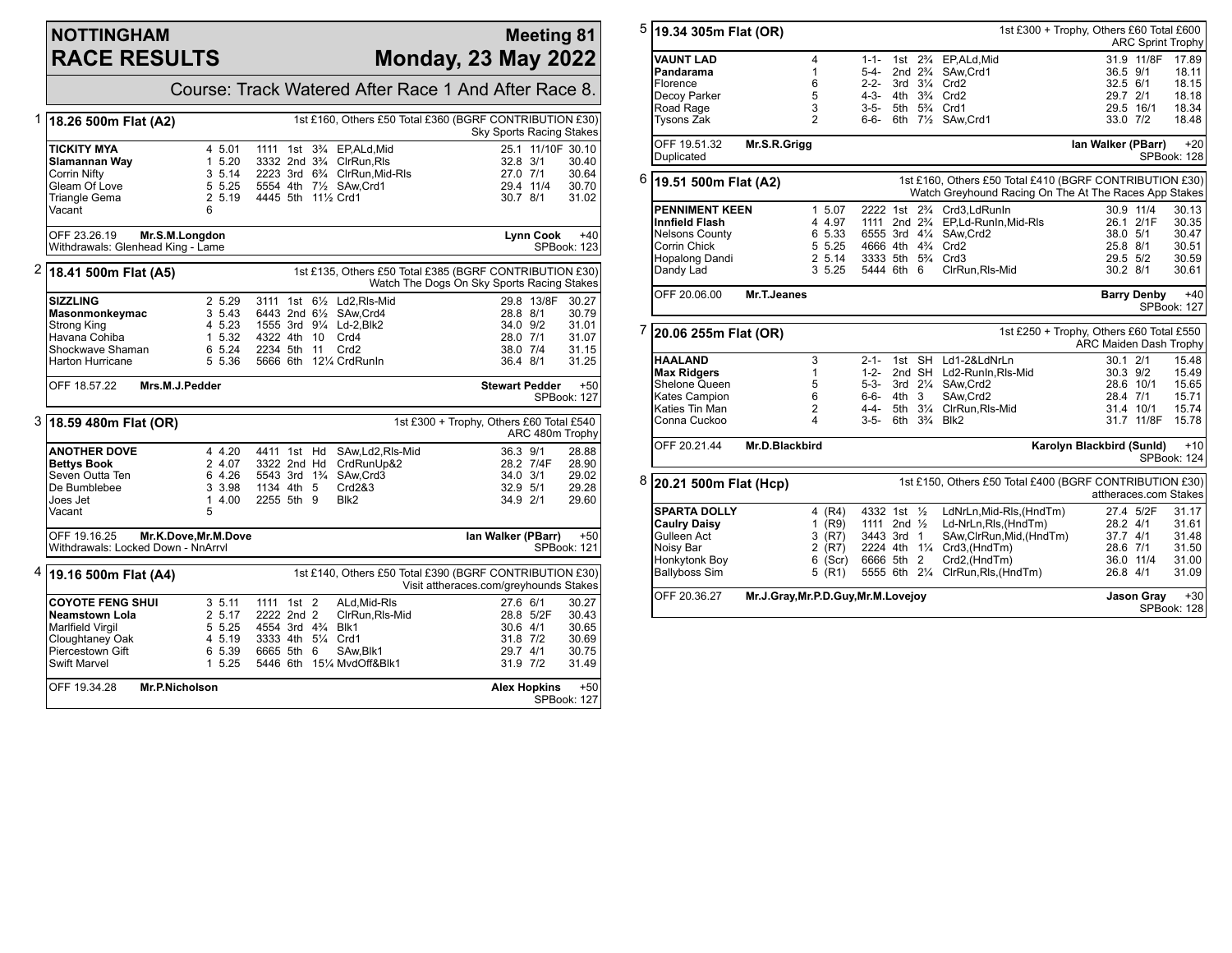## **NOTTINGHAM RACE RESULTS**

## **Meeting 81 Monday, 23 May 2022**

Course: Track Watered After Race 1 And After Race 8. 1 **18.26 500m Flat (A2)** 1st £160, Others £50 Total £360 (BGRF CONTRIBUTION £30) Sky Sports Racing Stakes **TICKITY MYA** 4 5.01 1111 1st 3<sup>3</sup>/<sub>4</sub> EP,ALd,Mid 25.1 11/10F 30.10<br> **Slamannan Wav** 1 5.20 3332 2nd 3<sup>3</sup>/<sub>4</sub> ClrRun.Ris 32.8 3/1 30.40 **Slamannan Way** 1 5.20 3332 2nd 3<sup>3</sup>/<sub>4</sub> ClrRun,Rls 32.8 3/1 30.40<br>Corrin Nifty 30.64 3 5.14 2223 3rd 6<sup>3</sup>/<sub>4</sub> ClrRun,Mid-Rls 32.0 7/1 30.64 Corrin Nifty **3 5.14 2223** 3rd 6¾ ClrRun, Mid-Rls 27.0 7/1 30.64<br>
Gleam Of Love 5 5.25 5554 4th 7½ SAw Crd1 29.4 11/4 30.70 Gleam Of Love 5 5.25 5554 4th 7½ SAw,Crd1 29.4 11/4 30.70 2 5.19 4445 5th 11½ Crd1 Vacant 6 OFF 23.26.19 **Mr.S.M.Longdon** Withdrawals: Glenhead King - Lame **Lynn Cook** +40 SPBook: 123 2 **18.41 500m Flat (A5)** 1st £135, Others £50 Total £385 (BGRF CONTRIBUTION £30) Watch The Dogs On Sky Sports Racing Stakes **SIZZLING** 2 5.29 3111 1st 6<sup>1</sup>/<sub>2</sub> Ld2,Rls-Mid 29.8 13/8F 30.27<br> **Masonmonkeymac** 3 5.43 6443 2nd 6<sup>1</sup>/<sub>2</sub> SAw,Crd4 28.8 8/1 30.79 **Masonmonkeymac** 3 5.43 6443 2nd 6<sup>1</sup>/<sub>2</sub> SAw,Crd4 28.8 8/1 30.79<br>Strong King 10 4 5.23 1555 3rd 9<sup>1</sup>/<sub>4</sub> Ld-2,Blk2 34.0 9/2 31.01 Strong King 4 5.23 1555 3rd 9¼ Ld-2,Blk2 34.0 9/2 31.01 Havana Cohiba 1 5.32 4322 4th 10 Crd4 28.0 7/1 31.07 Shockwave Shaman 6 5.24 2234 5th 11 Crd2 38.0 7/4<br>Harton Hurricane 6 5.36 5666 6th 12¼ CrdRunln 36.4 8/1 5 5.36 5666 6th 12¼ CrdRunIn 36.4 8/1 31.25 OFF 18.57.22 **Mrs.M.J.Pedder Stewart Pedder** +50 SPBook: 127 3 **18.59 480m Flat (OR)** 1st £300 + Trophy, Others £60 Total £540 ARC 480m Trophy **ANOTHER DOVE** 4 4.20 4411 1st Hd SAw,Ld2,Rls-Mid 36.3 9/1 28.88<br> **Bettys Book** 2 4.07 3322 2nd Hd CrdRunUp&2 28.2 7/4F 28.90 **Bettys Book** 2 4.07 3322 2nd Hd CrdRunUp&2 28.2 7/4F 28.90<br>
Seven Outta Ten 6 4.26 5543 3rd 1<sup>3</sup>/<sub>4</sub> SAw, Crd3 34.0 3/1 29.02 Seven Outta Ten 6 4.26 5543 3rd 1<sup>3</sup>/<sub>4</sub> SAw,Crd3 34.0 3/1 29.02<br>De Bumblebee 3 3.98 1134 4th 5 Crd2&3 32.9 5/1 29.28 De Bumblebee 3 3.98 1134 4th 5 Crd2&3 32.9 5/1 29.28 1 4.00 2255 5th 9<br>5 Vacant OFF 19.16.25 **Mr.K.Dove,Mr.M.Dove** Withdrawals: Locked Down - NnArrvl **Ian Walker (PBarr)** +50 SPBook: 121 4 **19.16 500m Flat (A4)** 1st £140, Others £50 Total £390 (BGRF CONTRIBUTION £30) Visit attheraces.com/greyhounds Stakes **COYOTE FENG SHUI** 3 5.11 1111 1st 2 ALd,Mid-RIs 27.6 6/1 30.27<br> **Neamstown Lola** 2 5.17 2222 2nd 2 ClrRun,RIs-Mid 28.8 5/2F 30.43 **Neamstown Lola** 2 5.17 2222 2nd 2 ClrRun, RIs-Mid 28.8 5/2F 30.43<br>Marlfield Virgil 20.65 5.25 4554 3rd 4<sup>3</sup>/<sub>4</sub> Blk1 30.65 30.6 4/1 30.65 Marlfield Virgil 5 5.25 4554 3rd 4¾ Blk1 30.6 4/1 30.65 Cloughtaney Oak 4 5.19 3333 4th 5¼ Crd1 31.8 7/2 30.69<br>Piercestown Gift 6 5.39 6665 5th 6 SAw.Blk1 29.7 4/1 30.75 Piercestown Gift 6 5.39 6665 5th 6 SAw, Blk1 29.7 4/1 30.75<br>Swift Marvel 31.49 1 5.25 5446 6th 151⁄4 MvdOff&Blk1 31.9 7/2 31.49 5446 6th 151/4 MvdOff&Blk1 OFF 19.34.28 **Mr.P.Nicholson Alex Hopkins** +50 SPBook: 127

5 **19.34 305m Flat (OR)** 1st £300 + Trophy, Others £60 Total £600 ARC Sprint Trophy **VAUNT LAD** 4 1-1- 1st 2¾ EP,ALd,Mid 31.9 11/8F 17.89<br>Pandarama 1 5-4- 2nd 2¾ SAw.Crd1 36.5 9/1 18.11 **Pandarama** 1 5-4- 2nd 2¾ SAw,Crd1 36.5 9/1 18.11 Florence 6 2-2- 3rd 3<sup>1</sup>/<sub>4</sub> Crd2 32.5 6/1 18.15<br>Decoy Parker 5 4-3- 4th 3<sup>3</sup>/<sub>4</sub> Crd2 32.7 2/1 18.18 Decoy Parker 5 4-3- 4th 3¾ Crd2 29.7 2/1 18.18 Road Rage 3 3-5- 5th 5¾ Crd1 29.5 16/1 18.34 6-6- 6th 71/<sub>2</sub> SAw,Crd1 OFF 19.51.32 **Mr.S.R.Grigg Duplicated Ian Walker (PBarr)** +20 SPBook: 128 6 **19.51 500m Flat (A2)** 1st £160, Others £50 Total £410 (BGRF CONTRIBUTION £30) Watch Greyhound Racing On The At The Races App Stakes **PENNIMENT KEEN** 1 5.07 2222 1st 2<sup>9</sup>/<sub>4</sub> Crd3,LdRunIn 30.9 11/4 30.13<br> **Innfield Flash** 1 4 4.97 1111 2nd 2<sup>9</sup>/<sub>4</sub> EP,Ld-RunIn,Mid-RIs 26.1 2/1F 30.35 **Innfield Flash** 4 4.97 1111 2nd 2¾ EP,Ld-RunIn,Mid-Rls 26.1 2/1F 30.35 Nelsons County 6 5.33 6555 3rd 4¼ SAw,Crd2 38.0 5/1 30.47<br>Corrin Chick 5 5.25 4666 4th 4¼ Crd2 30.51 30.51 30.51 Corrin Chick 5 5.25 4666 4th 4¾ Crd2 25.8 8/1 30.51 Hopalong Dandi 2 5.14 3333 5th 5¾ Crd3 29.5 5/2 30.59 5444 6th 6 OFF 20.06.00 **Mr.T.Jeanes Barry Denby** +40 SPBook: 127 7 **20.06 255m Flat (OR)** 1st £250 + Trophy, Others £60 Total £550 ARC Maiden Dash Trophy **HAALAND** 3 2-1- 1st SH Ld1-2&LdNrLn 30.1 2/1 15.48<br>**Max Ridgers** 1 1 1-2- 2nd SH Ld2-RunIn, RIs-Mid 30.3 9/2 15.49 **Max Ridgers** 1 1 1-2- 2nd SH Ld2-RunIn,Rls-Mid 30.3 9/2 15.49<br>Shelone Queen 5 5-3- 3rd 2¼ SAw.Crd2 3 28.6 10/1 15.65 5 5-3- 3rd 2¼ SAw,Crd2 28.6 10/1 15.65<br>6 6-6- 4th 3 SAw,Crd2 28.4 7/1 15.71 Kates Campion 6 6-6- 4th 3 SAw,Crd2 28.4 7/1 15.71 Katies Tin Man 2 4-4- 5th 31/4 ClrRun, RIs-Mid 31.4 10/1 15.74<br>Conna Cuckoo 34 3-5- 6th 31/4 Blk2 31.7 11/8F 15.78 4 3-5- 6th 3<sup>3</sup>/<sub>4</sub> Blk2 OFF 20.21.44 **Mr.D.Blackbird Karolyn Blackbird (Sunld)** +10 SPBook: 124 8 **20.21 500m Flat (Hcp)** 1st £150, Others £50 Total £400 (BGRF CONTRIBUTION £30) attheraces.com Stakes **SPARTA DOLLY** 4 (R4) 4332 1st ½ LdNrLn,Mid-Rls,(HndTm) 27.4 5/2F 31.17<br> **Caulry Daisy** 1 (R9) 1111 2nd ½ Ld-NrLn.Rls.(HndTm) 28.2 4/1 31.61 **Caulry Daisy** 1 (R9) 1111 2nd ½ Ld-NrLn,Rls,(HndTm) 28.2 4/1 31.61<br>Gulleen Act 3 (R7) 3443 3rd 1 SAw,ClrRun,Mid,(HndTm) 37.7 4/1 31.48 Gulleen Act 3 (R7) 3443 3rd 1 SAw,ClrRun,Mid,(HndTm) 37.7 4/1 31.48 Noisy Bar 2 (R7) 2224 4th 1¼ Crd3,(HndTm) 28.6 7/1 31.50 Honkytonk Boy 6 (Scr) 6666 5th 2 Crd2,(HndTm) 36.0 11/4 31.00  $5$   $(R1)$  5555 6th 2¼ ClrRun,Rls, (HndTm) OFF 20.36.27 **Mr.J.Gray,Mr.P.D.Guy,Mr.M.Lovejoy Jason Gray** +30 SPBook: 128